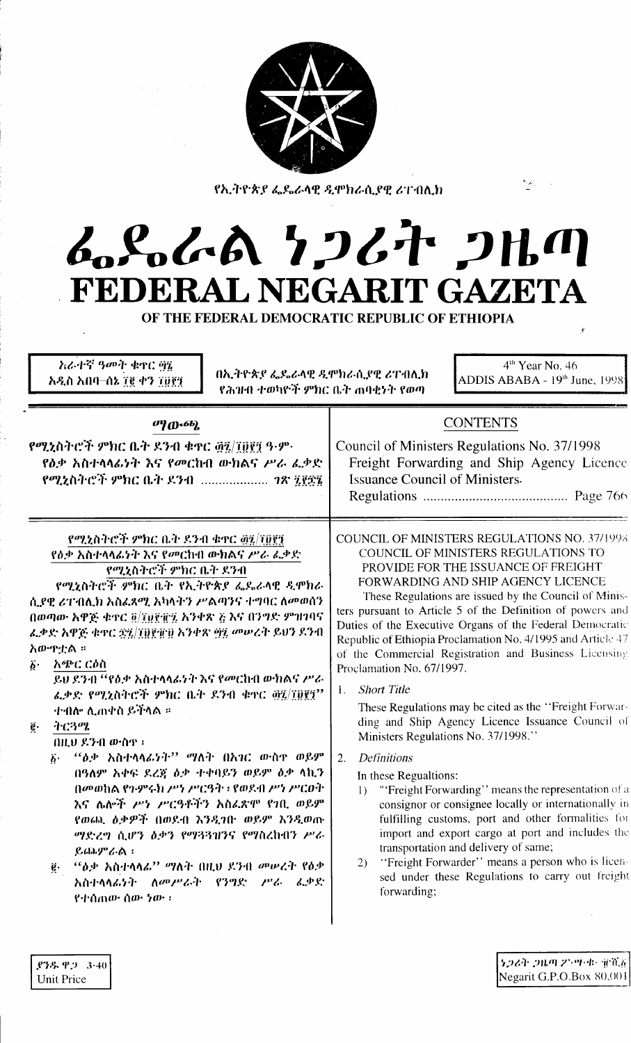

የኢትዮጵያ ፌዴራላዊ ዲሞክራሲያዊ ሪፐብሊክ

# んらんあ りつびれ つはの FEDERAL NEGARIT GAZETA

OF THE FEDERAL DEMOCRATIC REPUBLIC OF ETHIOPIA

| <i>አራተኛ ዓመት ቁ</i> ዋር ፵፮<br>በኢትዮጵያ ፌዴራላዊ ዲሞክራሲያዊ ሪፐብሊክ<br>አዲስ አበባ–ሰኔ ፲፪ ቀን ፲፱፻፺<br>የሕዝብ ተወካዮች ምክር ቤት ጠባቂነት የወጣ                                                                                                                                                                                                                                                                                                                                                                                                                                                                                                                                                                                                                                                                                                        | $4th$ Year No. 46<br>ADDIS ABABA - $19th$ June, $1998$                                                                                                                                                                                                                                                                                                                                                                                                                                                                                                                                                                                                                                                                                                                                                                                                                                                                                                                                                                                                                                                                                                              |  |  |  |
|----------------------------------------------------------------------------------------------------------------------------------------------------------------------------------------------------------------------------------------------------------------------------------------------------------------------------------------------------------------------------------------------------------------------------------------------------------------------------------------------------------------------------------------------------------------------------------------------------------------------------------------------------------------------------------------------------------------------------------------------------------------------------------------------------------------------|---------------------------------------------------------------------------------------------------------------------------------------------------------------------------------------------------------------------------------------------------------------------------------------------------------------------------------------------------------------------------------------------------------------------------------------------------------------------------------------------------------------------------------------------------------------------------------------------------------------------------------------------------------------------------------------------------------------------------------------------------------------------------------------------------------------------------------------------------------------------------------------------------------------------------------------------------------------------------------------------------------------------------------------------------------------------------------------------------------------------------------------------------------------------|--|--|--|
| $\sigma_{10}$ .6b)<br>የሚኒስትሮች ምክር ቤት ደንብ ቁዋር ፴፯/፲፱፻፺ ዓ·ም·<br>የዕቃ አስተላላፊነት እና የመርከብ ውክልና ሥራ ፌቃድ<br>የሚኒስትሮች ምክር ቤት ዶንብ <i>ገጽ ፯፻</i> ፳፯                                                                                                                                                                                                                                                                                                                                                                                                                                                                                                                                                                                                                                                                                 | <b>CONTENTS</b><br>Council of Ministers Regulations No. 37/1998<br>Freight Forwarding and Ship Agency Licence<br><b>Issuance Council of Ministers.</b>                                                                                                                                                                                                                                                                                                                                                                                                                                                                                                                                                                                                                                                                                                                                                                                                                                                                                                                                                                                                              |  |  |  |
| የሚኒስትሮች ምክር ቤት ደንብ ቁዋር ፴፯/፲፬፻፺<br>የዕቃ አስተላላፊነት እና የመርከብ ውክልና ሥራ ፌቃድ<br>የሚኒስትሮች ምክር ቤት ደንብ<br>የሚኒስትሮች ምክር ቤት የኢትዮጵያ ፌዴራላዊ ዲሞክራ<br>ሲያዊ ሪፐብሊክ አስፌጻሚ አካላትን ሥልጣንና ተግባር ለመወሰን<br>በወጣው አዋጅ ቁዋር ፬/፲፱፻፹፯ አንቀጽ ፩ እና በንግድ ምዝገባና<br>ፌቃድ አዋጅ ቁዋር ፳፯/፲፱፻፹፱ አንቀጽ ፵፯ መሠረት ይህን ደንብ<br>አውዋቷል ።<br>አጭር ርዕስ<br>$\ddot{b}$ .<br>ይህ ደንብ ''የዕቃ አስተላላፊነት እና የመርከብ ውክልና ሥራ<br>ፈቃድ የሚኒስትሮች ምክር ቤት ደንብ ቁዋር ፴፯/፲፱፻፺''<br>ተብሎ ሊጠቀስ ይችላል ።<br>ትርጓሜ<br>$\ddot{\mathbf{g}}\cdot$<br>በዚህ ደንብ ውስዋ ፡<br>$``$ ዕቃ አስተላላፊነት'' ማለት በአገር ውስዋ ወይም<br>$\vec{b}$ .<br>በዓለም አቀፍ ደረጃ ዕቃ ተቀባይን ወይም ዕቃ ላኪን<br>በመወከል የጉምሩክ ሥነ ሥርዓት ፡ የወደብ ሥነ ሥርዐት<br>እና ሌሎች ሥነ ሥርዓቶችን አስፌጽሞ የገቢ ወይም<br>የወጨ, ዕቃዎች በወደብ እንዲገበ ወይም እንዲወጡ<br>ማድረግ ሲሆን ዕቃን የማጓጓዝንና የማስረከብን ሥራ<br>ይጨምራል:<br>"ዕቃ አስተላላፊ" ማለት በዚህ ደንብ መሠረት የዕቃ<br>$\vec{e}$ .<br>አስተላላፊነት ለመሥራት የንግድ ሥራ ፊቃድ<br>የተሰጠው ሰው ነው ፡ | <b>COUNCIL OF MINISTERS REGULATIONS NO. 37/1998</b><br>COUNCIL OF MINISTERS REGULATIONS TO<br>PROVIDE FOR THE ISSUANCE OF FREIGHT<br>FORWARDING AND SHIP AGENCY LICENCE<br>These Regulations are issued by the Council of Minis-<br>ters pursuant to Article 5 of the Definition of powers and<br>Duties of the Executive Organs of the Federal Democratic<br>Republic of Ethiopia Proclamation No. 4/1995 and Article 47<br>of the Commercial Registration and Business Licensing<br>Proclamation No. 67/1997.<br><b>Short Title</b><br>1.<br>These Regulations may be cited as the "Freight Forwar-<br>ding and Ship Agency Licence Issuance Council of<br>Ministers Regulations No. 37/1998."<br>Definitions<br>2.<br>In these Regualtions:<br>"'Freight Forwarding'' means the representation of a<br>$\Gamma$<br>consignor or consignee locally or internationally in<br>fulfilling customs, port and other formalities for<br>import and export cargo at port and includes the<br>transportation and delivery of same;<br>"Freight Forwarder" means a person who is licen-<br><sup>2</sup><br>sed under these Regulations to carry out freight<br>forwarding; |  |  |  |

ነጋሪት ጋዜጣ ፖንግዳ፣ ቁንሺ፩ Negarit G.P.O.Box 80,001

 $$7.8923.40$ **Unit Price**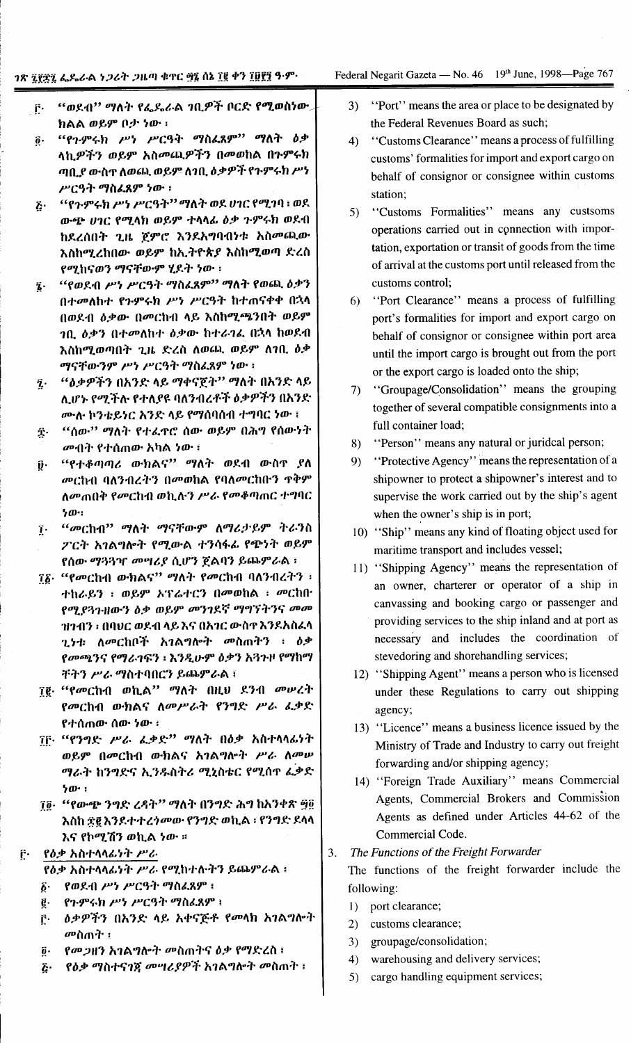Federal Negarit Gazeta — No. 46 19<sup>th</sup> June, 1998—Page 767

- "ወደብ" ማለት የፌዴራል ገቢዎች ቦርድ የሚወስነው.  $\mathbf{r}$ ክልል ወይም ቦታ ነው ፡
- "የጉምሩክ ሥነ ሥርዓት ማስፈጸም" ማለት  $b$ ቃ  $\vec{\mathbf{n}}$ . ላኪዎችን ወይም አስመጪዎችን በመወከል በጉምሩክ ጣቢያ ውስጥ ለወጪ ወይም ለገቢ ዕቃዎች የጉምሩክ ሥነ ሥርዓት ማስፈጸም ነው ፣
- "የጉምሩክ ሥነ ሥርዓት" ማለት ወደ ሀገር የሚገባ ፡ ወደ  $\ddot{c}$ ውጭ ሀገር የሚላክ ወይም ተላላፊ ዕቃ ጉምሩክ ወደብ ከደረሰበት ጊዜ ጀምሮ እንደአግባብነቱ አስመጪው እስከሚረከበው ወይም ከኢትዮጵያ እስከሚወጣ ድረስ የሚከናወን ማናቸውም ሂደት ነው ፡
- "የወደብ ሥነ ሥርዓት ማስፈጸም" ማለት የወጪ ዕቃን  $\hat{\mathbf{z}}$  . በተመለከተ የጉምሩክ ሥነ ሥርዓት ከተጠናቀቀ በኋላ በወደብ ዕቃው በመርከብ ላይ እስከሚጫንበት ወይም *ገቢ ዕቃን በተመለከተ ዕቃው ከተራገ*ፌ በኋላ ከወደብ እስከሚወጣበት ጊዜ ድረስ ለወጪ ወይም ለገቢ ዕቃ ማናቸውንም ሥነ ሥርዓት ማስፈጸም ነው ፡
- *"ለቃዎችን* በአንድ ላይ ማቀናጀት'' ማለት በአንድ ላይ  $\hat{\mathbf{z}}$ . ሊሆኑ የሚችሉ የተለያዩ ባለንብረቶች ዕቃዎችን በአንድ ሙሉ ኮንቴይነር አንድ ላይ የማሰባሰብ ተግባር ነው ፤
- "ሰው'' ማለት የተፈዋሮ ሰው ወይም በሕግ የሰውነት Ĵ. *መብት የተሰጠው አካ*ል ነው ፤
- *"የተቆጣጣሪ ውክልና*" ማለት ወደብ ውስዋ ያለ íj٠ መርከብ ባለንብረትን በመወከል የባለመርከቡን ዋቅም ለመጠበቅ የመርከብ ወኪሉን ሥራ የመቆጣጠር ተግባር  $50$ .
- 7. "መርከብ" ማለት ማናቸውም ለማሪታይም ትራንስ ፖርት አገልግሎት የሚውል ተንሳፋፊ የጭነት ወይም የሰው ማጓጓዣ መሣሪያ ሲሆን ጀልባን ይጨምራል ፡
- ፲፩· "የመርከብ ውክልና" ማለት የመርከብ ባለንብረትን ፣ ተከራይን ፡ ወይም አፕሬተርን በመወከል ፡ መርከቡ የሚያንጉዘውን ስቃ ወይም መንገደኛ ማግኘትንና መመ ዝንብን ፡ በባሀር ወደብ ላይ እና በአንር ውስዋ እንደአስፈላ ጊንቱ ለመርከቦች አገልግሎት መስጠትን ፣ ዕቃ የመጫንና የማራገፍን ፡ እንዲሁም ዕቃን አጓጉዞ የማከማ ቸትን ሥራ ማስተባበርን ይጨምራል ፤
- ፲፪ "የመርከብ ወኪል" ማለት በዚህ ደንብ መሠረት የመርከብ ውክልና ለመሥራት የንግድ ሥራ ፌቃድ የተሰጠው ሰው ነው ፡
- ፲፫· "የንግድ ሥራ ፌቃድ" ማለት በዕቃ አስተላላፊነት ወይም በመርከብ ውክልና አገልግሎት ሥራ ለመሥ ማራት ከንግድና ኢንዱስትሪ ሚኒስቴር የሚሰጥ ፌቃድ  $b$  $\mathbf{0}$   $\cdot$  :
- ገ፬· "የውጭ ንግድ ረዳት" ማለት በንግድ ሕግ ከአንቀጽ ጝ፬ እስከ ፳፪ እንደተተረጎመው የንግድ ወኪል ፣ የንግድ ደላላ እና የኮሚሽን ወኪል ነው ።

የዕቃ አስተላላፊነት ሥራ  $\mathbf{r}$ 

የዕቃ አስተላላፊነት ሥራ የሚከተሉትን ይጨምራል ፣

- የወደብ ሥነ ሥርዓት ማስፈጸም ፤  $\boldsymbol{\hat{b}}$ .
- የጉምሩክ ሥነ ሥርዓት ማስፈጸም ፡ ĝ.
- ዕቃዎችን በአንድ ላይ አቀናጅቶ የመላክ አገልግሎት ŕ٠ መስጠት ፤
- የመጋዜን አገልግሎት መስጠትና ዕቃ የማድረስ ፣  $\ddot{\mathbf{0}}$  .
- *የዕቃ ማ*ስተና*ገጀ መግሪያዎች አገ*ልግሎት መስጠት ፣ ٤٠
- $3)$ "Port" means the area or place to be designated by the Federal Revenues Board as such;
- "Customs Clearance" means a process of fulfilling  $\Delta$ customs' formalities for import and export cargo on behalf of consignor or consignee within customs station;
- "Customs Formalities" means any custsoms  $5)$ operations carried out in connection with importation, exportation or transit of goods from the time of arrival at the customs port until released from the customs control:
- "Port Clearance" means a process of fulfilling 6) port's formalities for import and export cargo on behalf of consignor or consignee within port area until the import cargo is brought out from the port or the export cargo is loaded onto the ship;
- "Groupage/Consolidation" means the grouping  $7)$ together of several compatible consignments into a full container load:
- "Person" means any natural or juridcal person; 8)
- "Protective Agency" means the representation of a 9) shipowner to protect a shipowner's interest and to supervise the work carried out by the ship's agent when the owner's ship is in port;
- 10) "Ship" means any kind of floating object used for maritime transport and includes vessel;
- 11) "Shipping Agency" means the representation of an owner, charterer or operator of a ship in canvassing and booking cargo or passenger and providing services to the ship inland and at port as necessary and includes the coordination of stevedoring and shorehandling services;
- 12) "Shipping Agent" means a person who is licensed under these Regulations to carry out shipping agency;
- 13) "Licence" means a business licence issued by the Ministry of Trade and Industry to carry out freight forwarding and/or shipping agency;
- 14) "Foreign Trade Auxiliary" means Commercial Agents, Commercial Brokers and Commission Agents as defined under Articles 44-62 of the Commercial Code.

The Functions of the Freight Forwarder 3.

The functions of the freight forwarder include the following:

- 1) port clearance;
- 2) customs clearance;
- groupage/consolidation;  $3)$
- $4)$ warehousing and delivery services;
- $5)$ cargo handling equipment services;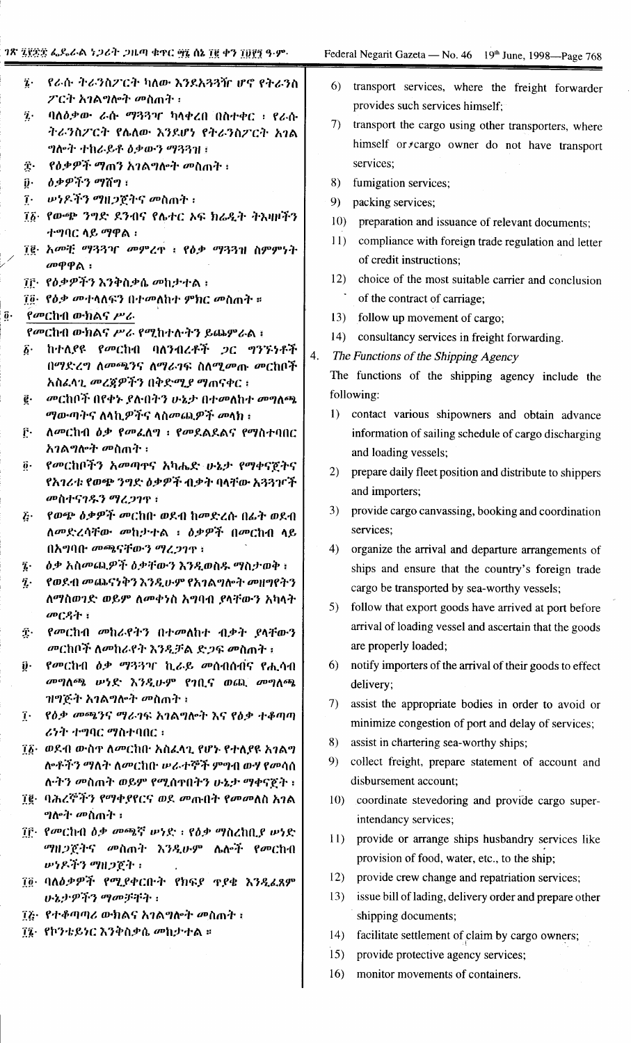|             | $\boldsymbol{i}$ .                 | ኖራሱ ትራንስፖርት ካለው እንደአጓጓዥ ሆኖ የትራንስ                                             |    | 6)              | transport services, where the freight forwarder          |
|-------------|------------------------------------|------------------------------------------------------------------------------|----|-----------------|----------------------------------------------------------|
|             |                                    | ፖርት አገልግሎት መስጠት :                                                            |    |                 | provides such services himself;                          |
|             | $\ddot{\mathbf{z}}$ .              | ባለዕቃው ራሱ ማጓጓዣ ካላቀረበ በስተቀር ፡ የራሱ                                              |    | 7)              | transport the cargo using other transporters, where      |
|             |                                    | ትራንስፖርት የሌለው እንደሆነ የትራንስፖርት አገል                                              |    |                 | himself or *cargo owner do not have transport            |
|             |                                    | ግሎት ተከራይቶ ዕቃውን ማጓጓዝ ፤                                                        |    |                 |                                                          |
|             | $\hat{\mathbf{T}}$ .               | <i>የዕቃዎች ማጠን አገ</i> ልግሎት መስጠት ፡                                              |    |                 | services;                                                |
|             | $\hat{\mathbf{p}}$ .               | ዕቃዎችን ማሽግ ፡                                                                  |    | 8)              | fumigation services;                                     |
|             | $\mathbf{\hat{i}}$ .               | <i>= ውነዶችን ማዘጋ</i> ጀትና መስጠት ፡                                                |    | 9)              | packing services;                                        |
|             |                                    | ፲፩· የውጭ ንግድ ደንብና የሴተር ኦፍ ክሬዲት ትእዛዞችን                                         |    | 10 <sub>l</sub> | preparation and issuance of relevant documents;          |
|             |                                    | ተግባር ላይ ማዋል ፡                                                                |    | 11)             | compliance with foreign trade regulation and letter      |
|             |                                    | ፲፪· አመቺ ማጓጓዣ መምረዋ ፡ የዕቃ ማጓጓዝ ስምምነት                                           |    |                 | of credit instructions;                                  |
|             |                                    | $σ$ ዋዋል:                                                                     |    | 12)             | choice of the most suitable carrier and conclusion       |
|             |                                    | ፲፫· የዕቃዎችን እንቅስቃሴ መከታተል ፡                                                    |    |                 |                                                          |
|             |                                    | 70. የዕቃ መተላለፍን በተመለከተ ምክር መስጠት ፡፡                                            |    |                 | of the contract of carriage;                             |
| $\vec{0}$ . |                                    | የመርከብ ውክልና ሥራ                                                                |    | 13)             | follow up movement of cargo;                             |
|             |                                    | የመርከብ ውክልና ሥራ የሚከተሉትን ይጨምራል ፣<br>ከተለያዩ የመርከብ ባለንብረቶች ጋር ግንኙነቶች               |    | (14)            | consultancy services in freight forwarding.              |
|             | $\boldsymbol{\delta}$ .            | በማድረግ ለመጫንና ለማራገፍ ስለሚመጡ መርከቦች                                                | 4. |                 | The Functions of the Shipping Agency                     |
|             |                                    | አስፈላጊ <i>መረጃዎችን</i> በቅድሚ <i>ያ</i> ማጠናቀር ፣                                    |    |                 | The functions of the shipping agency include the         |
|             | ĝ.                                 | <i>መ</i> ርከቦች በየቀኑ ያሉበትን ሁኔታ በተመለከተ መግለጫ                                     |    |                 | following:                                               |
|             |                                    | <i>ማ</i> ውጣትና ለላኪዎችና ላስመጪዎች መላክ ፣                                            |    | 1)              | contact various shipowners and obtain advance            |
|             | $\vec{\Gamma}$                     | ለመርከብ ዕቃ የመፌለግ ፡ የመደልደልና የማስተባበር                                             |    |                 | information of sailing schedule of cargo discharging     |
|             |                                    | አገልግሎት መስጠት ፡                                                                |    |                 |                                                          |
|             | $\overline{0}$ .                   | <i>የመ</i> ርከቦችን <i>አመ</i> ጣዋና አካሔድ ሁኔታ የማቀናጀትና                               |    |                 | and loading vessels;                                     |
|             |                                    | የአገሪቱ የወጭ ንግድ ዕቃዎች ብቃት ባላቸው አጓጓዦች                                            |    | 2)              | prepare daily fleet position and distribute to shippers  |
|             |                                    | መስተናገዱን ማረጋገጥ ፡                                                              |    |                 | and importers;                                           |
|             | $\vec{c}$                          | የወጭ ዕቃዎች መርከበ· ወደብ ከመድረሱ በፊት ወደብ                                             |    | 3)              | provide cargo canvassing, booking and coordination       |
|             |                                    | ለመድረሳቸው መከታተል ፡ ዕቃዎች በመርከብ ላይ                                                |    |                 | services;                                                |
|             |                                    | በአግባቡ መጫናቸውን ማረጋገዋ ፡                                                         |    | 4)              | organize the arrival and departure arrangements of       |
|             | $\hat{\imath}$ .                   | ዕቃ አስመጨዎች ዕቃቸውን እንዲወስዱ ማስታወቅ ፤                                               |    |                 | ships and ensure that the country's foreign trade        |
|             | $\hat{\mathbf{z}}$ .               | የወደብ መጨናነቅን እንዲሁም የአገልግሎት መዘግየትን                                             |    |                 | cargo be transported by sea-worthy vessels;              |
|             |                                    | ለማስወገድ ወይም ለመቀነስ አግባብ ያላቸውን አካላት                                             |    |                 |                                                          |
|             |                                    | መርዳት ፣                                                                       |    | 5)              | follow that export goods have arrived at port before     |
|             | Ţ.                                 | የመርከብ መከራየትን በተመለከተ ብቃት ያላቸውን                                                |    |                 | arrival of loading vessel and ascertain that the goods   |
|             |                                    | መርከቦች ለመከራየት እንዲቻል ድጋፍ መስጠት ፣                                                |    |                 | are properly loaded;                                     |
|             | $\vec{\boldsymbol{\upsilon}}\cdot$ | የመርከብ ዕቃ ማጓጓዣ ኪራይ መሰብሰብና የሒሳብ                                                |    | 6)              | notify importers of the arrival of their goods to effect |
|             |                                    | መግለጫ ሠነድ እንዲሁም የገቢና ወጪ መግለጫ                                                  |    |                 | delivery;                                                |
|             |                                    | <i>ዝግጅት አገ</i> ልግሎት መስጠት ፡                                                   |    | 7)              | assist the appropriate bodies in order to avoid or       |
|             | $\tau$ .                           | የዕቃ መጫንና ማራገፍ አገልግሎት እና የዕቃ ተቆጣጣ                                             |    |                 | minimize congestion of port and delay of services;       |
|             |                                    | ሪነት ተግባር ማስተባበር ፡                                                            |    | 8)              | assist in chartering sea-worthy ships;                   |
|             |                                    | ፲፩· ወደብ ውስዋ ለመርከበ አስፈላጊ የሆኑ የተለያዩ አገልግ                                       |    | 9)              | collect freight, prepare statement of account and        |
|             |                                    | ሎቶችን ማለት ለመርከቡ ሠራተኞች ምግብ ውሃ የመሳሰ                                             |    |                 |                                                          |
|             |                                    | ሉትን መስጠት ወይም የሚሰዋበትን ሁኔታ ማቀናጀት ፡                                             |    |                 | disbursement account;                                    |
|             |                                    | ፲፪· ባሕረኞችን የማቀያየርና ወደ መጡበት የመመለስ አገል                                         |    |                 | 10) coordinate stevedoring and provide cargo super-      |
|             |                                    | <i>ግ</i> ሎት መስጠት ፡                                                           |    |                 | intendancy services;                                     |
|             |                                    | ፲፫· የመርከብ ዕቃ መጫኛ ሠነድ ፡ የዕቃ ማስረከቢያ ሠነድ<br><i>ግዜጋ</i> ጀትና መስጠት እንዲሁም ሴሎች የመርከብ |    |                 | 11) provide or arrange ships husbandry services like     |
|             |                                    | <b>ルケメギン ツヨンでナー</b>                                                          |    |                 | provision of food, water, etc., to the ship;             |
|             |                                    | ፲፬· ባለዕቃዎች የሚያቀርቡት የክፍያ ዋያቄ እንዲፈጸም                                           |    | 12)             | provide crew change and repatriation services;           |
|             |                                    | ሁኔታዎችን ማመቻቸት ፡                                                               |    | 13)             | issue bill of lading, delivery order and prepare other   |
|             |                                    | ፲፩· የተቆጣጣሪ ውክልና አገልግሎት መስጠት ፤                                                |    |                 | shipping documents;                                      |
|             |                                    | ፲፯· የኮንቴይነር እንቅስቃሴ መክታተል ።                                                   |    |                 |                                                          |
|             |                                    |                                                                              |    | 14)             | facilitate settlement of claim by cargo owners;          |
|             |                                    |                                                                              |    | 15)             | provide protective agency services;                      |

16) monitor movements of containers.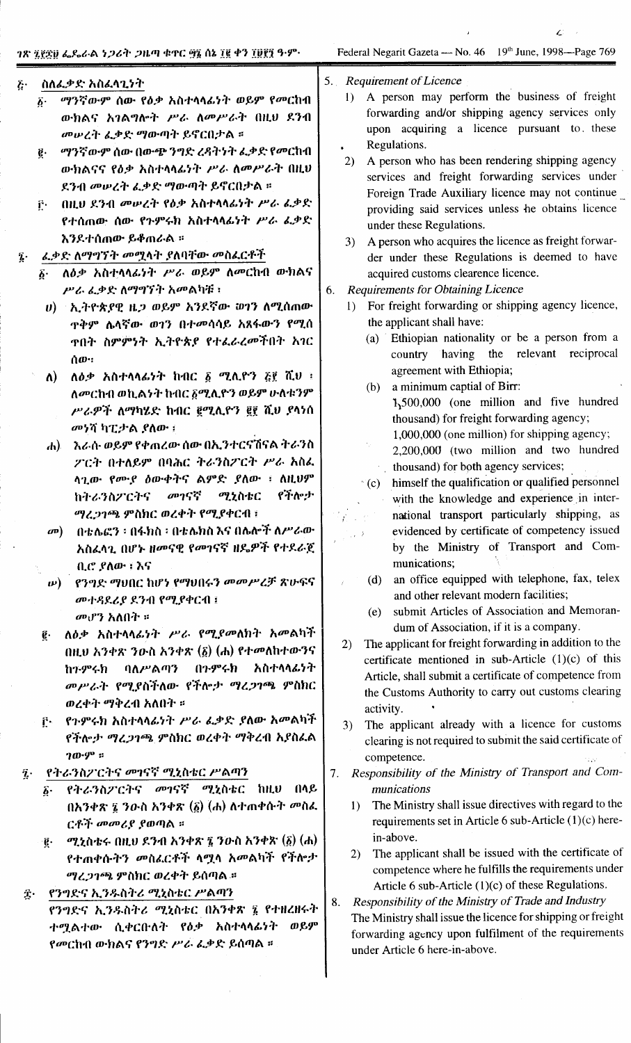#### ስለፌቃድ አስፈላጊንት  $\vec{b}$

- ማንኛውም ሰው የዕቃ አስተላላፊነት ወይም የመርከብ  $\vec{b}$ . ውክልና አገልግሎት ሥራ ለመሥራት በዚህ ደንብ መሠረት ፌቃድ ማውጣት ይኖርበታል ።
- ë. ማንኛውም ሰው በውጭ ንግድ ረዳትነት ፌቃድ የመርከብ ውክልናና የዕቃ አስተላላፊነት ሥራ ለመሥራት በዚህ ደንብ መሠረት ፌቃድ ማውጣት ይኖርበታል ።
- ቮ በዚህ ደንብ መሠረት የዕቃ አስተሳሳፊነት ሥራ ፌቃድ የተሰጠው ሰው የጉምሩክ አስተላላፊነት ሥራ ፌቃድ እንደተሰጠው ይቆጠራል ፡፡
- ፌቃድ ለማግኘት መሟላት ያለባቸው መስፌርቶች
	- ለዕቃ አስተላላፊነት ሥራ ወይም ለመርከብ ውክልና ሥራ ፌቃድ ለማግኘት አመልካቹ ፡
	- ሀ) ኢትዮጵያዊ ዜጋ ወይም አንደኛው ወገን ለሚሰጠው **ዋቅም ሌላኛው ወገን በተመሳሳይ አጸፋውን የሚሰ** ዋበት ስምምንት ኢትዮጵያ የተፈራረመችበት አገር ሰው።
	- ለዕቃ አስተላላፊነት ከብር ፩ ሚሊዮን ፭፻ ሺህ ፡  $\Lambda$ ) ለመርከብ ወኪልነት ከብር ፩ሚሊዮን ወይም ሁለቱንም ሥራዎች ለማካሄድ ከብር ፪ሚሊዮን ፪፻ ሺህ ያላነሰ መነሻ ካፒታል ያለው :
	- ሐ) እራሱ ወይም የቀጠረው ሰው በኢንተርናሽናል ትራንስ ፖርት በተለይም በባሕር ትራንስፖርት ሥራ አስፌ ላጊው የሙያ ዕውቀትና ልምድ ያለው ፡ ስዚህም መገናኛ የችሎታ ሚኒስቴር ከትራንስፖርትና ማረጋገጫ ምስክር ወረቀት የሚያቀርብ ፤
	- በቴሌፎን ፡ በፋክስ ፡ በቴሌክስ እና በሌሎች ለሥራው  $\boldsymbol{\sigma}$ አስፈላጊ በሆኑ ዘመናዊ የመገናኛ ዘዴዎች የተደራጀ ቢሮ ያለው ፣ እና
	- የንግድ ማህበር ከሆነ የማህበሩን መመሥረቻ ጽሁፍና  $\bm{\nu})$ መተዳደሪያ ደንብ የሚያቀርብ ፤ መሆን አለበት ።
	- ለዕቃ አስተላላፊነት ሥራ የሚያመለክት አመልካች  $\vec{e}$  . በዚህ አንቀጽ ንውስ አንቀጽ  $(\underline{\delta})$  (ሐ) የተመለከተውንና ባለሥልጣን በጉምሩክ አስተላላፊነት ከንምሩክ መሥራት የሚያስችለው የችሎታ ማረጋገጫ ምስክር ወረቀት ማቅረብ አለበት ።
	- የጉምሩክ አስተላላፊነት ሥራ ፌቃድ ያለው አመልካች  $\mathbf{f}$ . የችሎታ ማረጋገጫ ምስክር ወረቀት ማቅረብ አያስፌል  $70.9^{\circ}$  ::
- የትራንስፖርትና መገናኛ ሚኒስቴር ሥልጣን  $\tilde{\mathbf{z}}$ .
	- የትራንስፖርትና መገናኛ ሚኒስቴር ከዚህ በላይ δ. በአንቀጽ ፯ ንዑስ አንቀጽ  $(\delta)$  (ሐ) ለተጠቀሱት መስፌ ርቶች መመሪያ ያወጣል ።
	- ሚኒስቴሩ በዚህ ደንብ አንቀጽ ፯ ንውስ አንቀጽ  $(\tilde{\mathfrak{g}})$   $(\mathfrak{h})$ g. የተጠቀሱትን መስፌርቶች ላሟላ አመልካች የችሎታ ሚረጋገጫ ምስክር ወረቀት ይሰጣል ።
- የንግድና ኢንዱስትሪ ሚኒስቴር ሥልጣን Î. የንግድና ኢንዱስትሪ ሚኒስቴር በአንቀጽ ፮ የተዘረዘሩት ተሟልተው ሲቀርቡለት የዕቃ አስተላላፊነት ወይም የመርከብ ውክልና የንግድ ሥራ ፌቃድ ይሰጣል ።

Z

- $5<sup>1</sup>$ **Requirement of Licence** 
	- 1) A person may perform the business of freight forwarding and/or shipping agency services only upon acquiring a licence pursuant to these Regulations.
	- $2)$ A person who has been rendering shipping agency services and freight forwarding services under Foreign Trade Auxiliary licence may not continue providing said services unless he obtains licence under these Regulations.
	- $3)$ A person who acquires the licence as freight forwarder under these Regulations is deemed to have acquired customs clearence licence.
- **Requirements for Obtaining Licence** 6.
	- 1) For freight forwarding or shipping agency licence, the applicant shall have:
		- (a) Ethiopian nationality or be a person from a country having the relevant reciprocal agreement with Ethiopia;
		- a minimum captial of Birr:  $(b)$ 
			- 1,500,000 (one million and five hundred thousand) for freight forwarding agency;

1,000,000 (one million) for shipping agency;

- 2,200,000 (two million and two hundred thousand) for both agency services;
- himself the qualification or qualified personnel  $\left( c \right)$ with the knowledge and experience in international transport particularly shipping, as evidenced by certificate of competency issued by the Ministry of Transport and Communications;
- (d) an office equipped with telephone, fax, telex and other relevant modern facilities;
- submit Articles of Association and Memoran- $(e)$ dum of Association, if it is a company.
- 2) The applicant for freight forwarding in addition to the certificate mentioned in sub-Article  $(1)(c)$  of this Article, shall submit a certificate of competence from the Customs Authority to carry out customs clearing activity.
- The applicant already with a licence for customs  $3)$ clearing is not required to submit the said certificate of competence.
- 7. Responsibility of the Ministry of Transport and Communications
	- The Ministry shall issue directives with regard to the  $1)$ requirements set in Article 6 sub-Article (1)(c) herein-above.
	- The applicant shall be issued with the certificate of  $(2)$ competence where he fulfills the requirements under Article 6 sub-Article (1)(c) of these Regulations.
- Responsibility of the Ministry of Trade and Industry 8. The Ministry shall issue the licence for shipping or freight forwarding agency upon fulfilment of the requirements under Article 6 here-in-above.